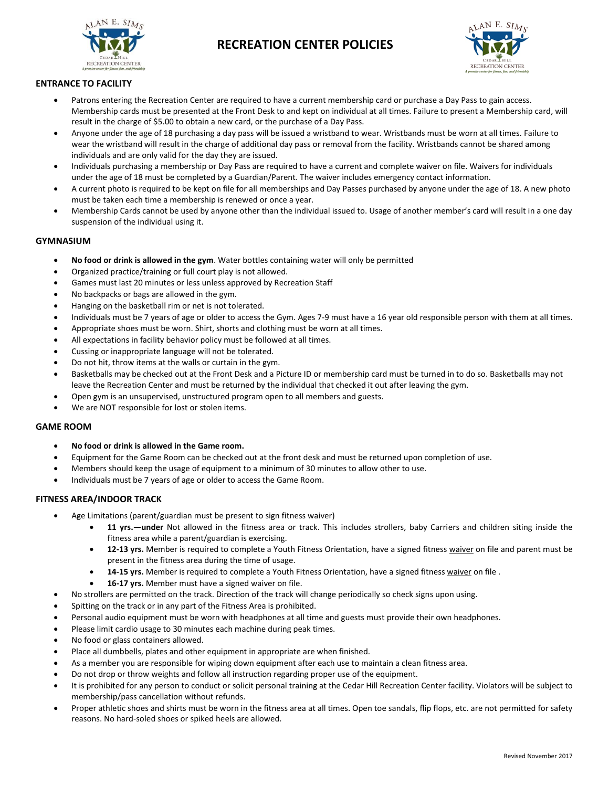

# **RECREATION CENTER POLICIES**



# **ENTRANCE TO FACILITY**

- Patrons entering the Recreation Center are required to have a current membership card or purchase a Day Pass to gain access. Membership cards must be presented at the Front Desk to and kept on individual at all times. Failure to present a Membership card, will result in the charge of \$5.00 to obtain a new card, or the purchase of a Day Pass.
- Anyone under the age of 18 purchasing a day pass will be issued a wristband to wear. Wristbands must be worn at all times. Failure to wear the wristband will result in the charge of additional day pass or removal from the facility. Wristbands cannot be shared among individuals and are only valid for the day they are issued.
- Individuals purchasing a membership or Day Pass are required to have a current and complete waiver on file. Waivers for individuals under the age of 18 must be completed by a Guardian/Parent. The waiver includes emergency contact information.
- A current photo is required to be kept on file for all memberships and Day Passes purchased by anyone under the age of 18. A new photo must be taken each time a membership is renewed or once a year.
- Membership Cards cannot be used by anyone other than the individual issued to. Usage of another member's card will result in a one day suspension of the individual using it.

# **GYMNASIUM**

- **No food or drink is allowed in the gym**. Water bottles containing water will only be permitted
- Organized practice/training or full court play is not allowed.
- Games must last 20 minutes or less unless approved by Recreation Staff
- No backpacks or bags are allowed in the gym.
- Hanging on the basketball rim or net is not tolerated.
- Individuals must be 7 years of age or older to access the Gym. Ages 7-9 must have a 16 year old responsible person with them at all times.
- Appropriate shoes must be worn. Shirt, shorts and clothing must be worn at all times.
- All expectations in facility behavior policy must be followed at all times.
- Cussing or inappropriate language will not be tolerated.
- Do not hit, throw items at the walls or curtain in the gym.
- Basketballs may be checked out at the Front Desk and a Picture ID or membership card must be turned in to do so. Basketballs may not leave the Recreation Center and must be returned by the individual that checked it out after leaving the gym.
- Open gym is an unsupervised, unstructured program open to all members and guests.
- We are NOT responsible for lost or stolen items.

#### **GAME ROOM**

- **No food or drink is allowed in the Game room.**
- Equipment for the Game Room can be checked out at the front desk and must be returned upon completion of use.
- Members should keep the usage of equipment to a minimum of 30 minutes to allow other to use.
- Individuals must be 7 years of age or older to access the Game Room.

# **FITNESS AREA/INDOOR TRACK**

- Age Limitations (parent/guardian must be present to sign fitness waiver)
	- **11 yrs.—under** Not allowed in the fitness area or track. This includes strollers, baby Carriers and children siting inside the fitness area while a parent/guardian is exercising.
	- **12-13 yrs.** Member is required to complete a Youth Fitness Orientation, have a signed fitness [waiver](http://cedarhilltx.com/DocumentView.asp?DID=338) on file and parent must be present in the fitness area during the time of usage.
	- **14-15 yrs.** Member is required to complete a Youth Fitness Orientation, have a signed fitnes[s waiver](http://cedarhilltx.com/DocumentView.asp?DID=338) on file .
	- **16-17 yrs.** Member must have a signed waiver on file.
- No strollers are permitted on the track. Direction of the track will change periodically so check signs upon using.
- Spitting on the track or in any part of the Fitness Area is prohibited.
- Personal audio equipment must be worn with headphones at all time and guests must provide their own headphones.
- Please limit cardio usage to 30 minutes each machine during peak times.
- No food or glass containers allowed.
- Place all dumbbells, plates and other equipment in appropriate are when finished.
- As a member you are responsible for wiping down equipment after each use to maintain a clean fitness area.
- Do not drop or throw weights and follow all instruction regarding proper use of the equipment.
- It is prohibited for any person to conduct or solicit personal training at the Cedar Hill Recreation Center facility. Violators will be subject to membership/pass cancellation without refunds.
- Proper athletic shoes and shirts must be worn in the fitness area at all times. Open toe sandals, flip flops, etc. are not permitted for safety reasons. No hard-soled shoes or spiked heels are allowed.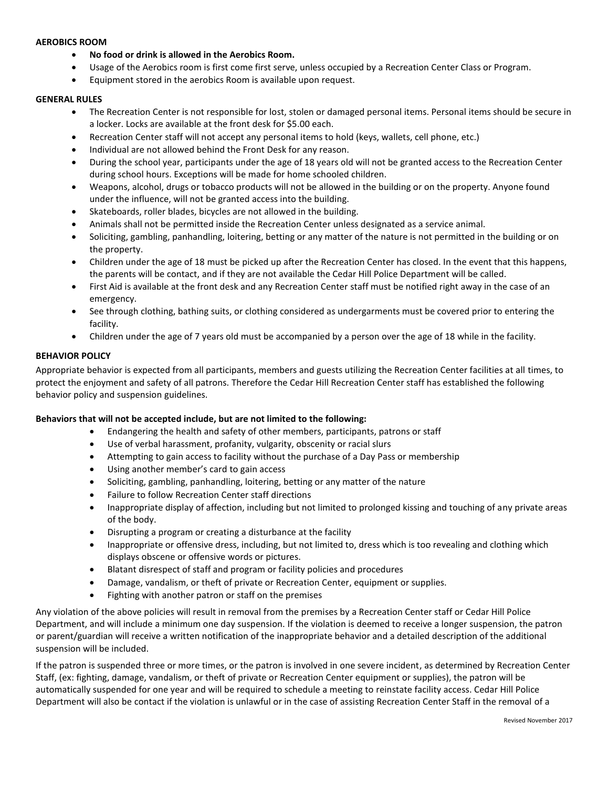#### **AEROBICS ROOM**

- **No food or drink is allowed in the Aerobics Room.**
- Usage of the Aerobics room is first come first serve, unless occupied by a Recreation Center Class or Program.
- Equipment stored in the aerobics Room is available upon request.

#### **GENERAL RULES**

- The Recreation Center is not responsible for lost, stolen or damaged personal items. Personal items should be secure in a locker. Locks are available at the front desk for \$5.00 each.
- Recreation Center staff will not accept any personal items to hold (keys, wallets, cell phone, etc.)
- Individual are not allowed behind the Front Desk for any reason.
- During the school year, participants under the age of 18 years old will not be granted access to the Recreation Center during school hours. Exceptions will be made for home schooled children.
- Weapons, alcohol, drugs or tobacco products will not be allowed in the building or on the property. Anyone found under the influence, will not be granted access into the building.
- Skateboards, roller blades, bicycles are not allowed in the building.
- Animals shall not be permitted inside the Recreation Center unless designated as a service animal.
- Soliciting, gambling, panhandling, loitering, betting or any matter of the nature is not permitted in the building or on the property.
- Children under the age of 18 must be picked up after the Recreation Center has closed. In the event that this happens, the parents will be contact, and if they are not available the Cedar Hill Police Department will be called.
- First Aid is available at the front desk and any Recreation Center staff must be notified right away in the case of an emergency.
- See through clothing, bathing suits, or clothing considered as undergarments must be covered prior to entering the facility.
- Children under the age of 7 years old must be accompanied by a person over the age of 18 while in the facility.

# **BEHAVIOR POLICY**

Appropriate behavior is expected from all participants, members and guests utilizing the Recreation Center facilities at all times, to protect the enjoyment and safety of all patrons. Therefore the Cedar Hill Recreation Center staff has established the following behavior policy and suspension guidelines.

# **Behaviors that will not be accepted include, but are not limited to the following:**

- Endangering the health and safety of other members, participants, patrons or staff
- Use of verbal harassment, profanity, vulgarity, obscenity or racial slurs
- Attempting to gain access to facility without the purchase of a Day Pass or membership
- Using another member's card to gain access
- Soliciting, gambling, panhandling, loitering, betting or any matter of the nature
- Failure to follow Recreation Center staff directions
- Inappropriate display of affection, including but not limited to prolonged kissing and touching of any private areas of the body.
- Disrupting a program or creating a disturbance at the facility
- Inappropriate or offensive dress, including, but not limited to, dress which is too revealing and clothing which displays obscene or offensive words or pictures.
- Blatant disrespect of staff and program or facility policies and procedures
- Damage, vandalism, or theft of private or Recreation Center, equipment or supplies.
- Fighting with another patron or staff on the premises

Any violation of the above policies will result in removal from the premises by a Recreation Center staff or Cedar Hill Police Department, and will include a minimum one day suspension. If the violation is deemed to receive a longer suspension, the patron or parent/guardian will receive a written notification of the inappropriate behavior and a detailed description of the additional suspension will be included.

If the patron is suspended three or more times, or the patron is involved in one severe incident, as determined by Recreation Center Staff, (ex: fighting, damage, vandalism, or theft of private or Recreation Center equipment or supplies), the patron will be automatically suspended for one year and will be required to schedule a meeting to reinstate facility access. Cedar Hill Police Department will also be contact if the violation is unlawful or in the case of assisting Recreation Center Staff in the removal of a